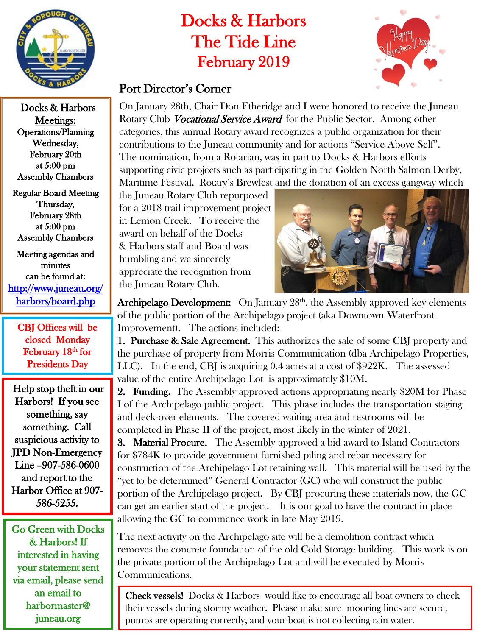

Docks & Harbors Meetings: Operations/Planning Wednesday, February 20th at 5:00 pm Assembly Chambers

Regular Board Meeting Thursday, February 28th at 5:00 pm Assembly Chambers

Meeting agendas and minutes can be found at: [http://www.juneau.org/](http://www.juneau.org/harbors/board.php)  [harbors/board.php](http://www.juneau.org/harbors/board.php) 

CBJ Offices will be closed Monday February 18<sup>th</sup> for Presidents Day

 Help stop theft in our Harbors! If you see something, say something. Call suspicious activity to JPD Non-Emergency Line –907-586-0600 and report to the Harbor Office at 907- 586-5255.

Go Green with Docks & Harbors! If interested in having your statement sent via email, please send an email to harbormaster@ juneau.org

## Docks & Harbors The Tide Line February 2019



## Port Director's Corner

On January 28th, Chair Don Etheridge and I were honored to receive the Juneau Rotary Club *Vocational Service Award* for the Public Sector. Among other categories, this annual Rotary award recognizes a public organization for their contributions to the Juneau community and for actions "Service Above Self". The nomination, from a Rotarian, was in part to Docks & Harbors efforts supporting civic projects such as participating in the Golden North Salmon Derby, Maritime Festival, Rotary's Brewfest and the donation of an excess gangway which

the Juneau Rotary Club repurposed for a 2018 trail improvement project in Lemon Creek. To receive the award on behalf of the Docks & Harbors staff and Board was humbling and we sincerely appreciate the recognition from the Juneau Rotary Club.



Archipelago Development: On January 28<sup>th</sup>, the Assembly approved key elements of the public portion of the Archipelago project (aka Downtown Waterfront Improvement). The actions included:

1. Purchase & Sale Agreement. This authorizes the sale of some CBI property and the purchase of property from Morris Communication (dba Archipelago Properties, LLC). In the end, CBJ is acquiring 0.4 acres at a cost of \$922K. The assessed value of the entire Archipelago Lot is approximately \$10M.

2. Funding. The Assembly approved actions appropriating nearly \$20M for Phase I of the Archipelago public project. This phase includes the transportation staging and deck-over elements. The covered waiting area and restrooms will be completed in Phase II of the project, most likely in the winter of 2021.

3. Material Procure. The Assembly approved a bid award to Island Contractors for \$784K to provide government furnished piling and rebar necessary for construction of the Archipelago Lot retaining wall. This material will be used by the "yet to be determined" General Contractor (GC) who will construct the public portion of the Archipelago project. By CBJ procuring these materials now, the GC can get an earlier start of the project. It is our goal to have the contract in place allowing the GC to commence work in late May 2019.

The next activity on the Archipelago site will be a demolition contract which removes the concrete foundation of the old Cold Storage building. This work is on the private portion of the Archipelago Lot and will be executed by Morris Communications.

Check vessels! Docks & Harbors would like to encourage all boat owners to check their vessels during stormy weather. Please make sure mooring lines are secure, pumps are operating correctly, and your boat is not collecting rain water.